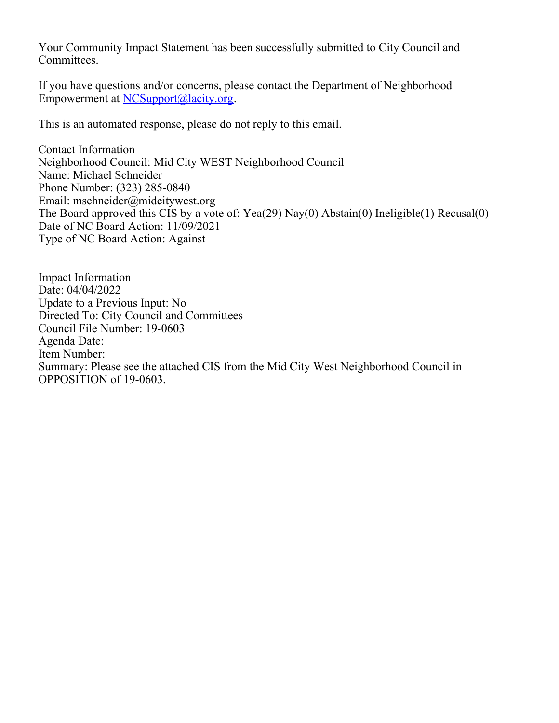Your Community Impact Statement has been successfully submitted to City Council and Committees.

If you have questions and/or concerns, please contact the Department of Neighborhood Empowerment at [NCSupport@lacity.org](mailto:NCSupport@lacity.org).

This is an automated response, please do not reply to this email.

Contact Information Neighborhood Council: Mid City WEST Neighborhood Council Name: Michael Schneider Phone Number: (323) 285-0840 Email: mschneider@midcitywest.org The Board approved this CIS by a vote of: Yea(29) Nay(0) Abstain(0) Ineligible(1) Recusal(0) Date of NC Board Action: 11/09/2021 Type of NC Board Action: Against

Impact Information Date: 04/04/2022 Update to a Previous Input: No Directed To: City Council and Committees Council File Number: 19-0603 Agenda Date: Item Number: Summary: Please see the attached CIS from the Mid City West Neighborhood Council in OPPOSITION of 19-0603.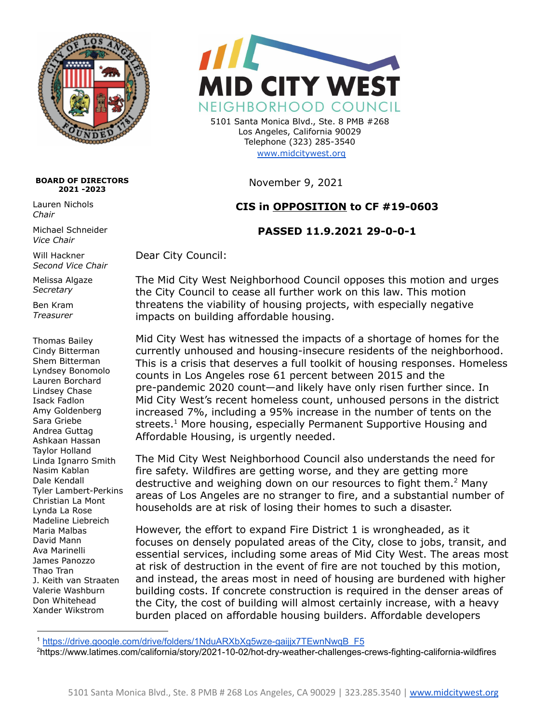

## **BOARD OF DIRECTORS 2021 -2023**

Lauren Nichols *Chair*

Michael Schneider *Vice Chair*

Will Hackner *Second Vice Chair*

Melissa Algaze *Secretary*

Ben Kram *Treasurer*

Thomas Bailey Cindy Bitterman Shem Bitterman Lyndsey Bonomolo Lauren Borchard Lindsey Chase Isack Fadlon Amy Goldenberg Sara Griebe Andrea Guttag Ashkaan Hassan Taylor Holland Linda Ignarro Smith Nasim Kablan Dale Kendall Tyler Lambert-Perkins Christian La Mont Lynda La Rose Madeline Liebreich Maria Malbas David Mann Ava Marinelli James Panozzo Thao Tran J. Keith van Straaten Valerie Washburn Don Whitehead Xander Wikstrom



5101 Santa Monica Blvd., Ste. 8 PMB #268 Los Angeles, California 90029 Telephone (323) 285-3540 [www.midcitywest.org](http://www.midcitywest.org)

November 9, 2021

## **CIS in OPPOSITION to CF #19-0603**

## **PASSED 11.9.2021 29-0-0-1**

Dear City Council:

The Mid City West Neighborhood Council opposes this motion and urges the City Council to cease all further work on this law. This motion threatens the viability of housing projects, with especially negative impacts on building affordable housing.

Mid City West has witnessed the impacts of a shortage of homes for the currently unhoused and housing-insecure residents of the neighborhood. This is a crisis that deserves a full toolkit of housing responses. Homeless counts in Los Angeles rose 61 percent between 2015 and the pre-pandemic 2020 count—and likely have only risen further since. In Mid City West's recent homeless count, unhoused persons in the district increased 7%, including a 95% increase in the number of tents on the streets. <sup>1</sup> More housing, especially Permanent Supportive Housing and Affordable Housing, is urgently needed.

The Mid City West Neighborhood Council also understands the need for fire safety. Wildfires are getting worse, and they are getting more destructive and weighing down on our resources to fight them.<sup>2</sup> Many areas of Los Angeles are no stranger to fire, and a substantial number of households are at risk of losing their homes to such a disaster.

However, the effort to expand Fire District 1 is wrongheaded, as it focuses on densely populated areas of the City, close to jobs, transit, and essential services, including some areas of Mid City West. The areas most at risk of destruction in the event of fire are not touched by this motion, and instead, the areas most in need of housing are burdened with higher building costs. If concrete construction is required in the denser areas of the City, the cost of building will almost certainly increase, with a heavy burden placed on affordable housing builders. Affordable developers

<sup>1</sup> [https://drive.google.com/drive/folders/1NduARXbXg5wze-gaijjx7TEwnNwqB\\_F5](https://drive.google.com/drive/folders/1NduARXbXg5wze-gaijjx7TEwnNwqB_F5)

<sup>2</sup>https://www.latimes.com/california/story/2021-10-02/hot-dry-weather-challenges-crews-fighting-california-wildfires